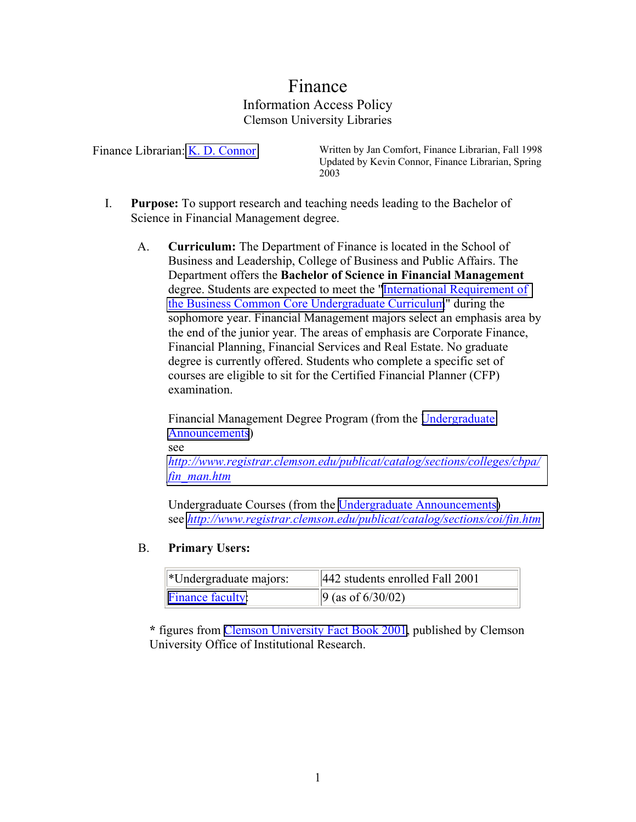# Finance Information Access Policy Clemson University Libraries

Finance Librarian: [K. D. Connor](mailto:connor@clemson.edu) Written by Jan Comfort, Finance Librarian, Fall 1998 Updated by Kevin Connor, Finance Librarian, Spring 2003

- I. **Purpose:** To support research and teaching needs leading to the Bachelor of Science in Financial Management degree.
	- A. **Curriculum:** The Department of Finance is located in the School of Business and Leadership, College of Business and Public Affairs. The Department offers the **Bachelor of Science in Financial Management** degree. Students are expected to meet the ["International Requirement of](http://business.clemson.edu/Finance/itr.htm)  [the Business Common Core Undergraduate Curriculum](http://business.clemson.edu/Finance/itr.htm)" during the sophomore year. Financial Management majors select an emphasis area by the end of the junior year. The areas of emphasis are Corporate Finance, Financial Planning, Financial Services and Real Estate. No graduate degree is currently offered. Students who complete a specific set of courses are eligible to sit for the Certified Financial Planner (CFP) examination.

Financial Management Degree Program (from the [Undergraduate](http://www.registrar.clemson.edu/publicat/catalog/contents.htm)  [Announcements](http://www.registrar.clemson.edu/publicat/catalog/contents.htm))

see

*[http://www.registrar.clemson.edu/publicat/catalog/sections/colleges/cbpa/](http://www.registrar.clemson.edu/publicat/catalog/sections/colleges/cbpa/fin_man.htm) fin\_man.htm*

Undergraduate Courses (from the [Undergraduate Announcements\)](http://www.registrar.clemson.edu/publicat/catalog/contents.htm) see *<http://www.registrar.clemson.edu/publicat/catalog/sections/coi/fin.htm>*

#### B. **Primary Users:**

| $\mathbf{[}\ast$ Undergraduate majors: | 442 students enrolled Fall 2001   |
|----------------------------------------|-----------------------------------|
| $\mathbf{F}$ inance faculty:           | $\left 9 \right $ (as of 6/30/02) |

**\*** figures from [Clemson University Fact Book 2001,](http://www.clemson.edu/oir/factsbook.htm) published by Clemson University Office of Institutional Research.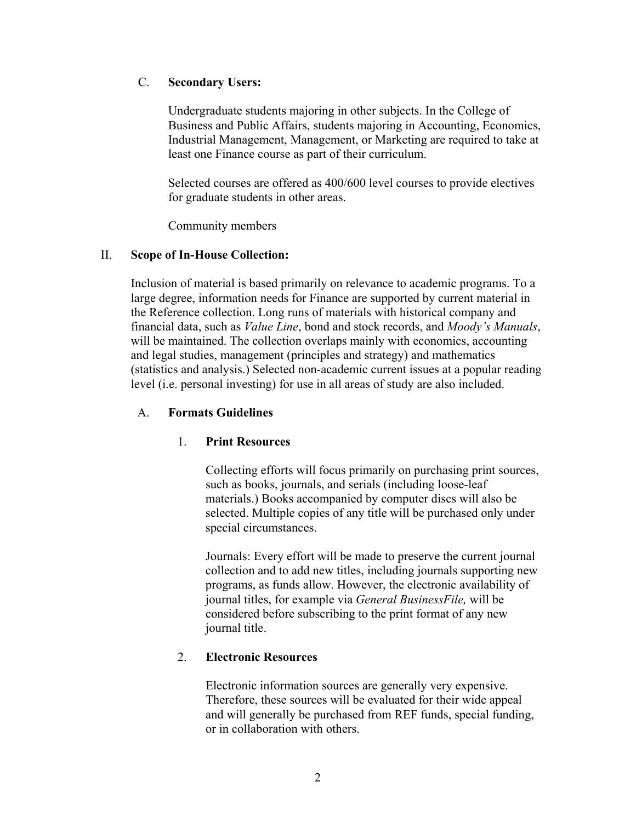# C. **Secondary Users:**

Undergraduate students majoring in other subjects. In the College of Business and Public Affairs, students majoring in Accounting, Economics, Industrial Management, Management, or Marketing are required to take at least one Finance course as part of their curriculum.

Selected courses are offered as 400/600 level courses to provide electives for graduate students in other areas.

Community members

## II. **Scope of In-House Collection:**

Inclusion of material is based primarily on relevance to academic programs. To a large degree, information needs for Finance are supported by current material in the Reference collection. Long runs of materials with historical company and financial data, such as *Value Line*, bond and stock records, and *Moody's Manuals*, will be maintained. The collection overlaps mainly with economics, accounting and legal studies, management (principles and strategy) and mathematics (statistics and analysis.) Selected non-academic current issues at a popular reading level (i.e. personal investing) for use in all areas of study are also included.

# A. **Formats Guidelines**

# 1. **Print Resources**

Collecting efforts will focus primarily on purchasing print sources, such as books, journals, and serials (including loose-leaf materials.) Books accompanied by computer discs will also be selected. Multiple copies of any title will be purchased only under special circumstances.

Journals: Every effort will be made to preserve the current journal collection and to add new titles, including journals supporting new programs, as funds allow. However, the electronic availability of journal titles, for example via *General BusinessFile,* will be considered before subscribing to the print format of any new journal title.

# 2. **Electronic Resources**

Electronic information sources are generally very expensive. Therefore, these sources will be evaluated for their wide appeal and will generally be purchased from REF funds, special funding, or in collaboration with others.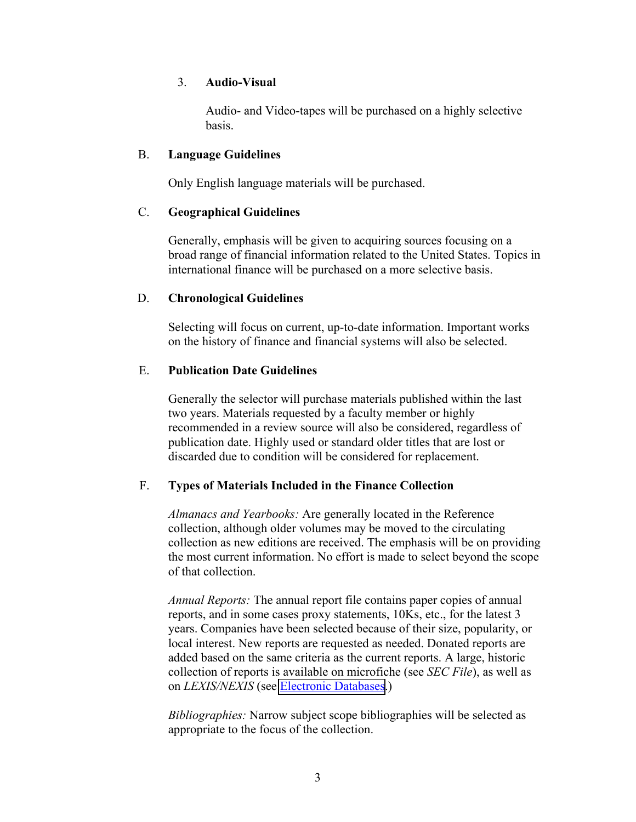### 3. **Audio-Visual**

Audio- and Video-tapes will be purchased on a highly selective basis.

### B. **Language Guidelines**

Only English language materials will be purchased.

# C. **Geographical Guidelines**

Generally, emphasis will be given to acquiring sources focusing on a broad range of financial information related to the United States. Topics in international finance will be purchased on a more selective basis.

## D. **Chronological Guidelines**

Selecting will focus on current, up-to-date information. Important works on the history of finance and financial systems will also be selected.

## E. **Publication Date Guidelines**

Generally the selector will purchase materials published within the last two years. Materials requested by a faculty member or highly recommended in a review source will also be considered, regardless of publication date. Highly used or standard older titles that are lost or discarded due to condition will be considered for replacement.

# F. **Types of Materials Included in the Finance Collection**

*Almanacs and Yearbooks:* Are generally located in the Reference collection, although older volumes may be moved to the circulating collection as new editions are received. The emphasis will be on providing the most current information. No effort is made to select beyond the scope of that collection.

*Annual Reports:* The annual report file contains paper copies of annual reports, and in some cases proxy statements, 10Ks, etc., for the latest 3 years. Companies have been selected because of their size, popularity, or local interest. New reports are requested as needed. Donated reports are added based on the same criteria as the current reports. A large, historic collection of reports is available on microfiche (see *SEC File*), as well as on *LEXIS/NEXIS* (see [Electronic Databases.](http://www.lib.clemson.edu/aboutlib/infoaccess/#Electronic))

*Bibliographies:* Narrow subject scope bibliographies will be selected as appropriate to the focus of the collection.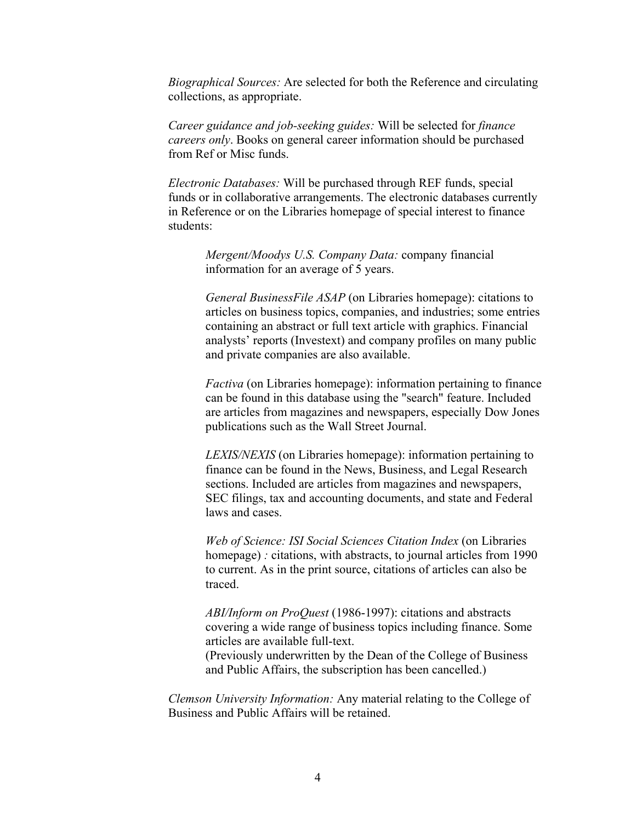*Biographical Sources:* Are selected for both the Reference and circulating collections, as appropriate.

*Career guidance and job-seeking guides:* Will be selected for *finance careers only*. Books on general career information should be purchased from Ref or Misc funds.

*Electronic Databases:* Will be purchased through REF funds, special funds or in collaborative arrangements. The electronic databases currently in Reference or on the Libraries homepage of special interest to finance students:

*Mergent/Moodys U.S. Company Data:* company financial information for an average of 5 years.

*General BusinessFile ASAP* (on Libraries homepage): citations to articles on business topics, companies, and industries; some entries containing an abstract or full text article with graphics. Financial analysts' reports (Investext) and company profiles on many public and private companies are also available.

*Factiva* (on Libraries homepage): information pertaining to finance can be found in this database using the "search" feature. Included are articles from magazines and newspapers, especially Dow Jones publications such as the Wall Street Journal.

*LEXIS/NEXIS* (on Libraries homepage): information pertaining to finance can be found in the News, Business, and Legal Research sections. Included are articles from magazines and newspapers, SEC filings, tax and accounting documents, and state and Federal laws and cases.

*Web of Science: ISI Social Sciences Citation Index* (on Libraries homepage) *:* citations, with abstracts, to journal articles from 1990 to current. As in the print source, citations of articles can also be traced.

*ABI/Inform on ProQuest* (1986-1997): citations and abstracts covering a wide range of business topics including finance. Some articles are available full-text.

(Previously underwritten by the Dean of the College of Business and Public Affairs, the subscription has been cancelled.)

*Clemson University Information:* Any material relating to the College of Business and Public Affairs will be retained.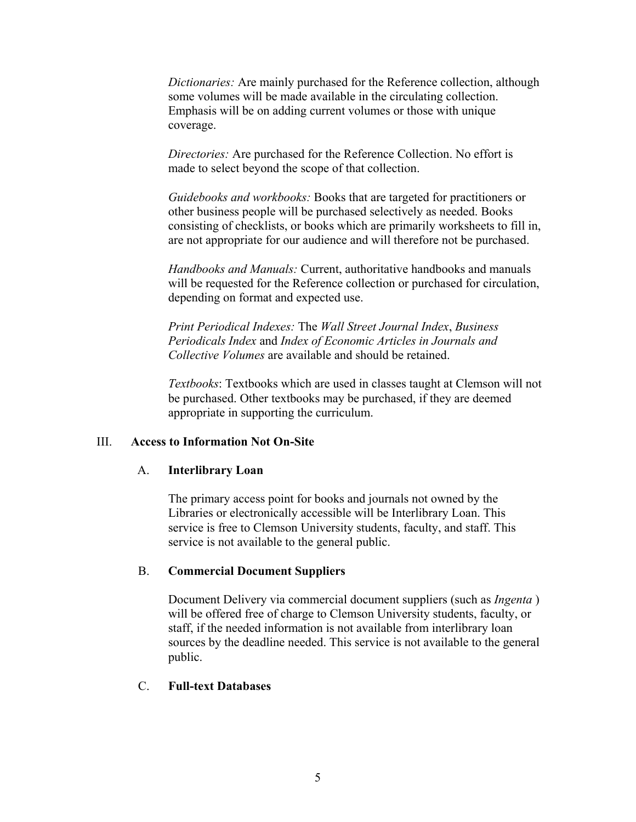*Dictionaries:* Are mainly purchased for the Reference collection, although some volumes will be made available in the circulating collection. Emphasis will be on adding current volumes or those with unique coverage.

*Directories:* Are purchased for the Reference Collection. No effort is made to select beyond the scope of that collection.

*Guidebooks and workbooks:* Books that are targeted for practitioners or other business people will be purchased selectively as needed. Books consisting of checklists, or books which are primarily worksheets to fill in, are not appropriate for our audience and will therefore not be purchased.

*Handbooks and Manuals:* Current, authoritative handbooks and manuals will be requested for the Reference collection or purchased for circulation, depending on format and expected use.

*Print Periodical Indexes:* The *Wall Street Journal Index*, *Business Periodicals Index* and *Index of Economic Articles in Journals and Collective Volumes* are available and should be retained.

*Textbooks*: Textbooks which are used in classes taught at Clemson will not be purchased. Other textbooks may be purchased, if they are deemed appropriate in supporting the curriculum.

#### III. **Access to Information Not On-Site**

#### A. **Interlibrary Loan**

The primary access point for books and journals not owned by the Libraries or electronically accessible will be Interlibrary Loan. This service is free to Clemson University students, faculty, and staff. This service is not available to the general public.

#### B. **Commercial Document Suppliers**

Document Delivery via commercial document suppliers (such as *Ingenta* ) will be offered free of charge to Clemson University students, faculty, or staff, if the needed information is not available from interlibrary loan sources by the deadline needed. This service is not available to the general public.

#### C. **Full-text Databases**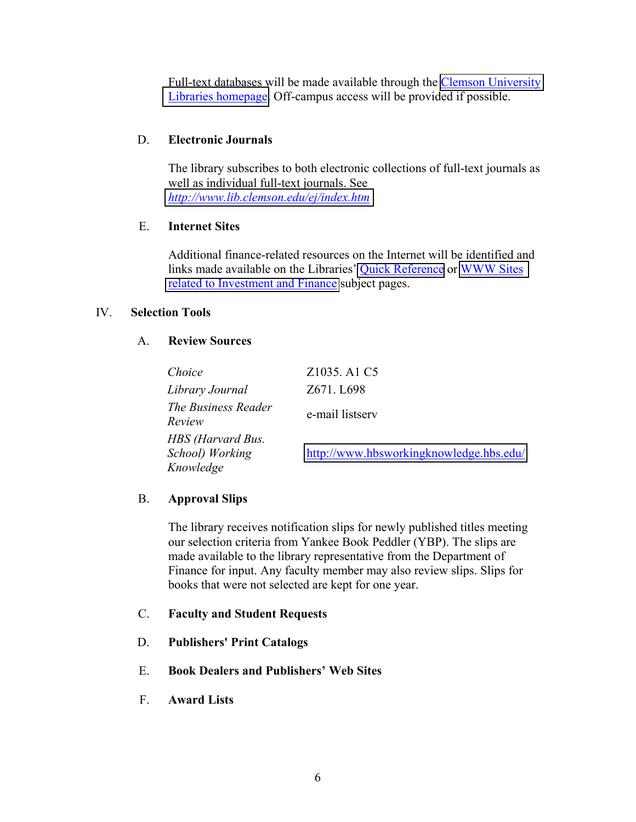Full-text databases will be made available through the **Clemson University** [Libraries homepage.](http://www.lib.clemson.edu/research/indexes.htm) Off-campus access will be provided if possible.

# D. **Electronic Journals**

The library subscribes to both electronic collections of full-text journals as well as individual full-text journals. See *<http://www.lib.clemson.edu/ej/index.htm>*

#### E. **Internet Sites**

Additional finance-related resources on the Internet will be identified and links made available on the Libraries' [Quick Reference](http://www.lib.clemson.edu/qr/) or [WWW Sites](http://www.lib.clemson.edu/subjects/finance.htm)  [related to Investment and Finance](http://www.lib.clemson.edu/subjects/finance.htm) subject pages.

#### IV. **Selection Tools**

#### A. **Review Sources**

| Choice                                            | Z1035. A1 C5                            |
|---------------------------------------------------|-----------------------------------------|
| Library Journal                                   | Z671. L698                              |
| The Business Reader<br>Review                     | e-mail listserv                         |
| HBS (Harvard Bus.<br>School) Working<br>Knowledge | http://www.hbsworkingknowledge.hbs.edu/ |

#### B. **Approval Slips**

The library receives notification slips for newly published titles meeting our selection criteria from Yankee Book Peddler (YBP). The slips are made available to the library representative from the Department of Finance for input. Any faculty member may also review slips. Slips for books that were not selected are kept for one year.

- C. **Faculty and Student Requests**
- D. **Publishers' Print Catalogs**
- E. **Book Dealers and Publishers' Web Sites**
- F. **Award Lists**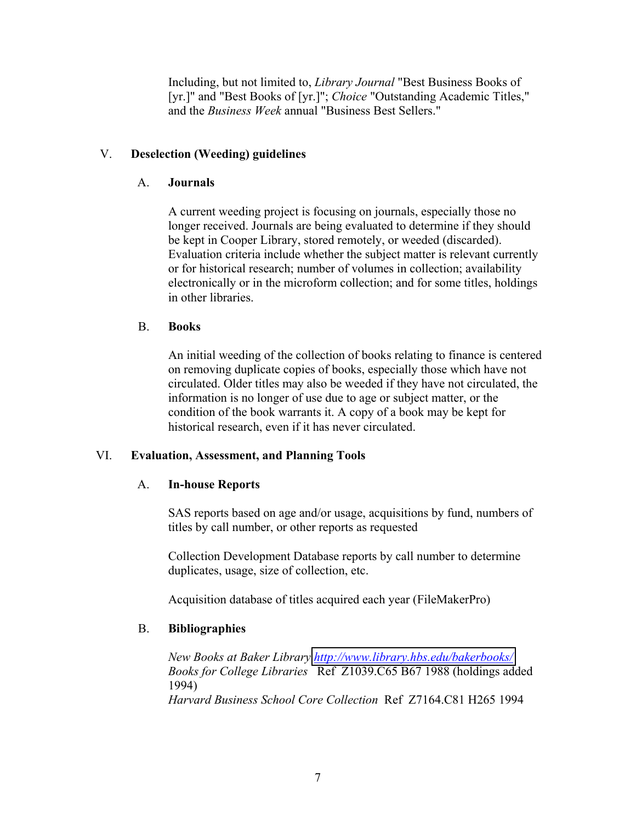Including, but not limited to, *Library Journal* "Best Business Books of [yr.]" and "Best Books of [yr.]"; *Choice* "Outstanding Academic Titles," and the *Business Week* annual "Business Best Sellers."

# V. **Deselection (Weeding) guidelines**

# A. **Journals**

A current weeding project is focusing on journals, especially those no longer received. Journals are being evaluated to determine if they should be kept in Cooper Library, stored remotely, or weeded (discarded). Evaluation criteria include whether the subject matter is relevant currently or for historical research; number of volumes in collection; availability electronically or in the microform collection; and for some titles, holdings in other libraries.

## B. **Books**

An initial weeding of the collection of books relating to finance is centered on removing duplicate copies of books, especially those which have not circulated. Older titles may also be weeded if they have not circulated, the information is no longer of use due to age or subject matter, or the condition of the book warrants it. A copy of a book may be kept for historical research, even if it has never circulated.

# VI. **Evaluation, Assessment, and Planning Tools**

# A. **In-house Reports**

SAS reports based on age and/or usage, acquisitions by fund, numbers of titles by call number, or other reports as requested

Collection Development Database reports by call number to determine duplicates, usage, size of collection, etc.

Acquisition database of titles acquired each year (FileMakerPro)

# B. **Bibliographies**

*New Books at Baker Library<http://www.library.hbs.edu/bakerbooks/> Books for College Libraries* Ref Z1039.C65 B67 1988 (holdings added 1994) *Harvard Business School Core Collection* Ref Z7164.C81 H265 1994